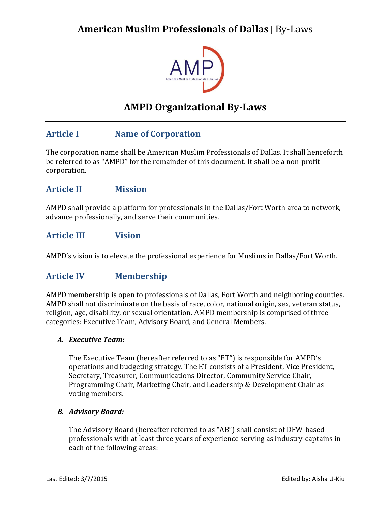

# **AMPD Organizational By-Laws**

## **Article I Name of Corporation**

The corporation name shall be American Muslim Professionals of Dallas. It shall henceforth be referred to as "AMPD" for the remainder of this document. It shall be a non-profit corporation.

## **Article II Mission**

AMPD shall provide a platform for professionals in the Dallas/Fort Worth area to network, advance professionally, and serve their communities.

### **Article III Vision**

AMPD's vision is to elevate the professional experience for Muslims in Dallas/Fort Worth.

## **Article IV Membership**

AMPD membership is open to professionals of Dallas, Fort Worth and neighboring counties. AMPD shall not discriminate on the basis of race, color, national origin, sex, veteran status, religion, age, disability, or sexual orientation. AMPD membership is comprised of three categories: Executive Team, Advisory Board, and General Members.

### *A. Executive Team:*

The Executive Team (hereafter referred to as "ET") is responsible for AMPD's operations and budgeting strategy. The ET consists of a President, Vice President, Secretary, Treasurer, Communications Director, Community Service Chair, Programming Chair, Marketing Chair, and Leadership & Development Chair as voting members.

### *B. Advisory Board:*

The Advisory Board (hereafter referred to as "AB") shall consist of DFW-based professionals with at least three years of experience serving as industry-captains in each of the following areas: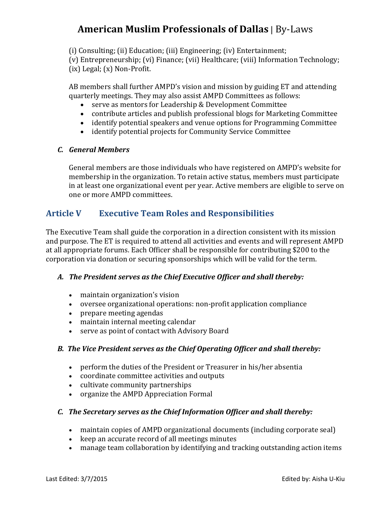(i) Consulting; (ii) Education; (iii) Engineering; (iv) Entertainment;

(v) Entrepreneurship; (vi) Finance; (vii) Healthcare; (viii) Information Technology; (ix) Legal; (x) Non-Profit.

AB members shall further AMPD's vision and mission by guiding ET and attending quarterly meetings. They may also assist AMPD Committees as follows:

- serve as mentors for Leadership & Development Committee
- contribute articles and publish professional blogs for Marketing Committee
- identify potential speakers and venue options for Programming Committee
- identify potential projects for Community Service Committee

## *C. General Members*

General members are those individuals who have registered on AMPD's website for membership in the organization. To retain active status, members must participate in at least one organizational event per year. Active members are eligible to serve on one or more AMPD committees.

## **Article V Executive Team Roles and Responsibilities**

The Executive Team shall guide the corporation in a direction consistent with its mission and purpose. The ET is required to attend all activities and events and will represent AMPD at all appropriate forums. Each Officer shall be responsible for contributing \$200 to the corporation via donation or securing sponsorships which will be valid for the term.

## *A. The President serves as the Chief Executive Officer and shall thereby:*

- maintain organization's vision
- oversee organizational operations: non-profit application compliance
- prepare meeting agendas
- maintain internal meeting calendar
- serve as point of contact with Advisory Board

### *B. The Vice President serves as the Chief Operating Officer and shall thereby:*

- perform the duties of the President or Treasurer in his/her absentia
- coordinate committee activities and outputs
- cultivate community partnerships
- organize the AMPD Appreciation Formal

## *C. The Secretary serves as the Chief Information Officer and shall thereby:*

- maintain copies of AMPD organizational documents (including corporate seal)
- keep an accurate record of all meetings minutes
- manage team collaboration by identifying and tracking outstanding action items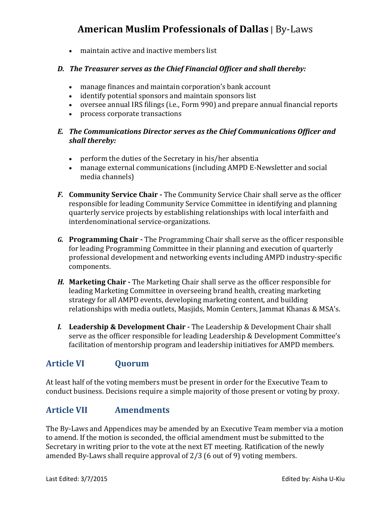maintain active and inactive members list

### *D. The Treasurer serves as the Chief Financial Officer and shall thereby:*

- manage finances and maintain corporation's bank account
- identify potential sponsors and maintain sponsors list
- oversee annual IRS filings (i.e., Form 990) and prepare annual financial reports
- process corporate transactions

### *E. The Communications Director serves as the Chief Communications Officer and shall thereby:*

- perform the duties of the Secretary in his/her absentia
- manage external communications (including AMPD E-Newsletter and social media channels)
- *F.* **Community Service Chair -** The Community Service Chair shall serve as the officer responsible for leading Community Service Committee in identifying and planning quarterly service projects by establishing relationships with local interfaith and interdenominational service-organizations.
- *G.* **Programming Chair -** The Programming Chair shall serve as the officer responsible for leading Programming Committee in their planning and execution of quarterly professional development and networking events including AMPD industry-specific components.
- *H.* **Marketing Chair -** The Marketing Chair shall serve as the officer responsible for leading Marketing Committee in overseeing brand health, creating marketing strategy for all AMPD events, developing marketing content, and building relationships with media outlets, Masjids, Momin Centers, Jammat Khanas & MSA's.
- *I.* **Leadership & Development Chair -** The Leadership & Development Chair shall serve as the officer responsible for leading Leadership & Development Committee's facilitation of mentorship program and leadership initiatives for AMPD members.

## **Article VI Quorum**

At least half of the voting members must be present in order for the Executive Team to conduct business. Decisions require a simple majority of those present or voting by proxy.

## **Article VII Amendments**

The By-Laws and Appendices may be amended by an Executive Team member via a motion to amend. If the motion is seconded, the official amendment must be submitted to the Secretary in writing prior to the vote at the next ET meeting. Ratification of the newly amended By-Laws shall require approval of 2/3 (6 out of 9) voting members.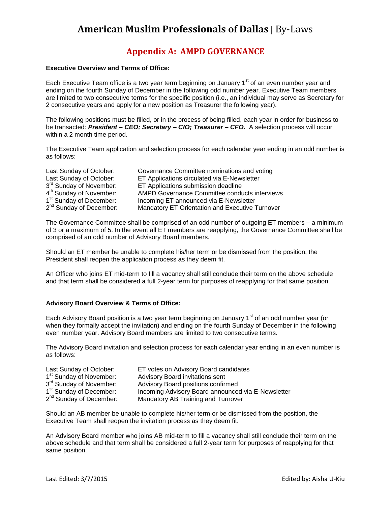## **Appendix A: AMPD GOVERNANCE**

#### **Executive Overview and Terms of Office:**

Each Executive Team office is a two year term beginning on January 1<sup>st</sup> of an even number year and ending on the fourth Sunday of December in the following odd number year. Executive Team members are limited to two consecutive terms for the specific position (i.e., an individual may serve as Secretary for 2 consecutive years and apply for a new position as Treasurer the following year).

The following positions must be filled, or in the process of being filled, each year in order for business to be transacted: *President – CEO; Secretary – CIO; Treasurer – CFO.* A selection process will occur within a 2 month time period.

The Executive Team application and selection process for each calendar year ending in an odd number is as follows:

| Last Sunday of October:             | Governance Committee nominations and voting     |
|-------------------------------------|-------------------------------------------------|
| Last Sunday of October:             | ET Applications circulated via E-Newsletter     |
| 3 <sup>rd</sup> Sunday of November: | ET Applications submission deadline             |
| 4 <sup>th</sup> Sunday of November: | AMPD Governance Committee conducts interviews   |
| 1 <sup>st</sup> Sunday of December: | Incoming ET announced via E-Newsletter          |
| 2 <sup>nd</sup> Sunday of December: | Mandatory ET Orientation and Executive Turnover |

The Governance Committee shall be comprised of an odd number of outgoing ET members – a minimum of 3 or a maximum of 5. In the event all ET members are reapplying, the Governance Committee shall be comprised of an odd number of Advisory Board members.

Should an ET member be unable to complete his/her term or be dismissed from the position, the President shall reopen the application process as they deem fit.

An Officer who joins ET mid-term to fill a vacancy shall still conclude their term on the above schedule and that term shall be considered a full 2-year term for purposes of reapplying for that same position.

#### **Advisory Board Overview & Terms of Office:**

Each Advisory Board position is a two year term beginning on January  $1<sup>st</sup>$  of an odd number year (or when they formally accept the invitation) and ending on the fourth Sunday of December in the following even number year. Advisory Board members are limited to two consecutive terms.

The Advisory Board invitation and selection process for each calendar year ending in an even number is as follows:

| Last Sunday of October:             | ET votes on Advisory Board candidates              |
|-------------------------------------|----------------------------------------------------|
| 1 <sup>st</sup> Sunday of November: | Advisory Board invitations sent                    |
| 3 <sup>rd</sup> Sunday of November: | Advisory Board positions confirmed                 |
| 1 <sup>st</sup> Sunday of December: | Incoming Advisory Board announced via E-Newsletter |
| 2 <sup>nd</sup> Sunday of December: | Mandatory AB Training and Turnover                 |

Should an AB member be unable to complete his/her term or be dismissed from the position, the Executive Team shall reopen the invitation process as they deem fit.

An Advisory Board member who joins AB mid-term to fill a vacancy shall still conclude their term on the above schedule and that term shall be considered a full 2-year term for purposes of reapplying for that same position.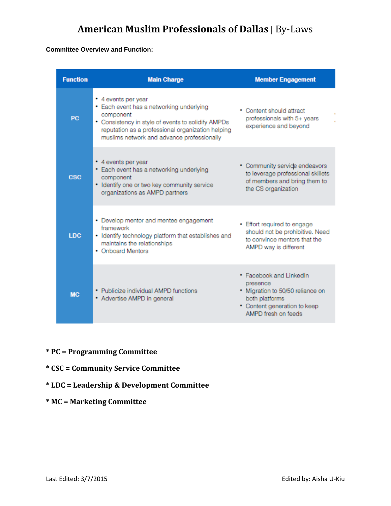#### **Committee Overview and Function:**

| <b>Function</b> | <b>Main Charge</b>                                                                                                                                                                                                                    | <b>Member Engagement</b>                                                                                                                         |
|-----------------|---------------------------------------------------------------------------------------------------------------------------------------------------------------------------------------------------------------------------------------|--------------------------------------------------------------------------------------------------------------------------------------------------|
| PC              | • 4 events per year<br>• Each event has a networking underlying<br>component<br>• Consistency in style of events to solidify AMPDs<br>reputation as a professional organization helping<br>muslims network and advance professionally | • Content should attract<br>professionals with 5+ years<br>experience and beyond                                                                 |
| <b>CSC</b>      | • 4 events per year<br>• Each event has a networking underlying<br>component<br>. Identify one or two key community service<br>organizations as AMPD partners                                                                         | • Community service endeavors<br>to leverage professional skillets<br>of members and bring them to<br>the CS organization                        |
| <b>LDC</b>      | • Develop mentor and mentee engagement<br>framework<br>· Identify technology platform that establishes and<br>maintains the relationships<br>• Onboard Mentors                                                                        | • Effort required to engage<br>should not be prohibitive. Need<br>to convince mentors that the<br>AMPD way is different                          |
| <b>MC</b>       | • Publicize individual AMPD functions<br>• Advertise AMPD in general                                                                                                                                                                  | · Facebook and LinkedIn<br>presence<br>. Migration to 50/50 reliance on<br>both platforms<br>• Content generation to keep<br>AMPD fresh on feeds |

- **\* PC = Programming Committee**
- **\* CSC = Community Service Committee**
- **\* LDC = Leadership & Development Committee**
- **\* MC = Marketing Committee**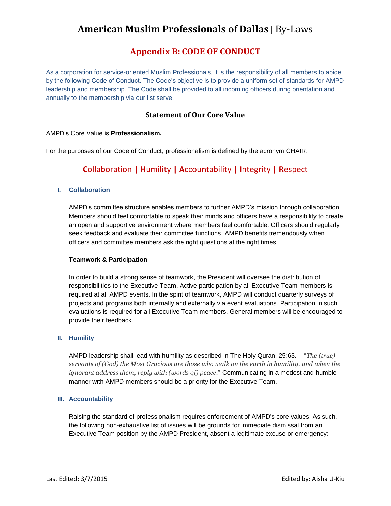## **Appendix B: CODE OF CONDUCT**

As a corporation for service-oriented Muslim Professionals, it is the responsibility of all members to abide by the following Code of Conduct. The Code's objective is to provide a uniform set of standards for AMPD leadership and membership. The Code shall be provided to all incoming officers during orientation and annually to the membership via our list serve.

### **Statement of Our Core Value**

#### AMPD's Core Value is **Professionalism.**

For the purposes of our Code of Conduct, professionalism is defined by the acronym CHAIR:

## **C**ollaboration **| H**umility **| A**ccountability **| I**ntegrity **| R**espect

#### **I. Collaboration**

AMPD's committee structure enables members to further AMPD's mission through collaboration. Members should feel comfortable to speak their minds and officers have a responsibility to create an open and supportive environment where members feel comfortable. Officers should regularly seek feedback and evaluate their committee functions. AMPD benefits tremendously when officers and committee members ask the right questions at the right times.

#### **Teamwork & Participation**

In order to build a strong sense of teamwork, the President will oversee the distribution of responsibilities to the Executive Team. Active participation by all Executive Team members is required at all AMPD events. In the spirit of teamwork, AMPD will conduct quarterly surveys of projects and programs both internally and externally via event evaluations. Participation in such evaluations is required for all Executive Team members. General members will be encouraged to provide their feedback.

#### **II. Humility**

AMPD leadership shall lead with humility as described in The Holy Quran, 25:63. – "*The (true) servants of (God) the Most Gracious are those who walk on the earth in humility, and when the ignorant address them, reply with (words of) peace*." Communicating in a modest and humble manner with AMPD members should be a priority for the Executive Team.

#### **III. Accountability**

Raising the standard of professionalism requires enforcement of AMPD's core values. As such, the following non-exhaustive list of issues will be grounds for immediate dismissal from an Executive Team position by the AMPD President, absent a legitimate excuse or emergency: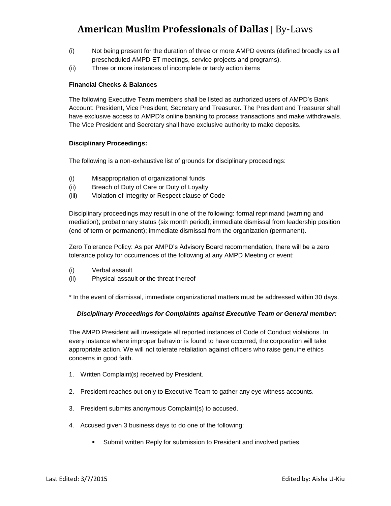- (i) Not being present for the duration of three or more AMPD events (defined broadly as all prescheduled AMPD ET meetings, service projects and programs).
- (ii) Three or more instances of incomplete or tardy action items

#### **Financial Checks & Balances**

The following Executive Team members shall be listed as authorized users of AMPD's Bank Account: President, Vice President, Secretary and Treasurer. The President and Treasurer shall have exclusive access to AMPD's online banking to process transactions and make withdrawals. The Vice President and Secretary shall have exclusive authority to make deposits.

#### **Disciplinary Proceedings:**

The following is a non-exhaustive list of grounds for disciplinary proceedings:

- (i) Misappropriation of organizational funds
- (ii) Breach of Duty of Care or Duty of Loyalty
- (iii) Violation of Integrity or Respect clause of Code

Disciplinary proceedings may result in one of the following: formal reprimand (warning and mediation); probationary status (six month period); immediate dismissal from leadership position (end of term or permanent); immediate dismissal from the organization (permanent).

Zero Tolerance Policy: As per AMPD's Advisory Board recommendation, there will be a zero tolerance policy for occurrences of the following at any AMPD Meeting or event:

- (i) Verbal assault
- (ii) Physical assault or the threat thereof

\* In the event of dismissal, immediate organizational matters must be addressed within 30 days.

#### *Disciplinary Proceedings for Complaints against Executive Team or General member:*

The AMPD President will investigate all reported instances of Code of Conduct violations. In every instance where improper behavior is found to have occurred, the corporation will take appropriate action. We will not tolerate retaliation against officers who raise genuine ethics concerns in good faith.

- 1. Written Complaint(s) received by President.
- 2. President reaches out only to Executive Team to gather any eye witness accounts.
- 3. President submits anonymous Complaint(s) to accused.
- 4. Accused given 3 business days to do one of the following:
	- Submit written Reply for submission to President and involved parties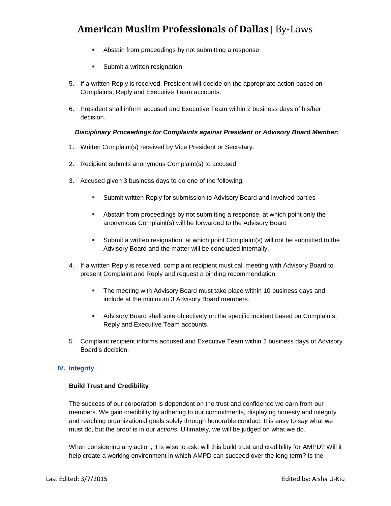- Abstain from proceedings by not submitting a response
- **Submit a written resignation**
- 5. If a written Reply is received, President will decide on the appropriate action based on Complaints, Reply and Executive Team accounts.
- 6. President shall inform accused and Executive Team within 2 business days of his/her decision.

#### *Disciplinary Proceedings for Complaints against President or Advisory Board Member:*

- 1. Written Complaint(s) received by Vice President or Secretary.
- 2. Recipient submits anonymous Complaint(s) to accused.
- 3. Accused given 3 business days to do one of the following:
	- Submit written Reply for submission to Advisory Board and involved parties
	- Abstain from proceedings by not submitting a response, at which point only the anonymous Complaint(s) will be forwarded to the Advisory Board
	- Submit a written resignation, at which point Complaint(s) will not be submitted to the Advisory Board and the matter will be concluded internally.
- 4. If a written Reply is received, complaint recipient must call meeting with Advisory Board to present Complaint and Reply and request a binding recommendation.
	- **The meeting with Advisory Board must take place within 10 business days and** include at the minimum 3 Advisory Board members.
	- Advisory Board shall vote objectively on the specific incident based on Complaints, Reply and Executive Team accounts.
- 5. Complaint recipient informs accused and Executive Team within 2 business days of Advisory Board's decision.

#### **IV. Integrity**

#### **Build Trust and Credibility**

The success of our corporation is dependent on the trust and confidence we earn from our members. We gain credibility by adhering to our commitments, displaying honesty and integrity and reaching organizational goals solely through honorable conduct. It is easy to *say* what we must do, but the proof is in our *actions*. Ultimately, we will be judged on what we do.

When considering any action, it is wise to ask: will this build trust and credibility for AMPD? Will it help create a working environment in which AMPD can succeed over the long term? Is the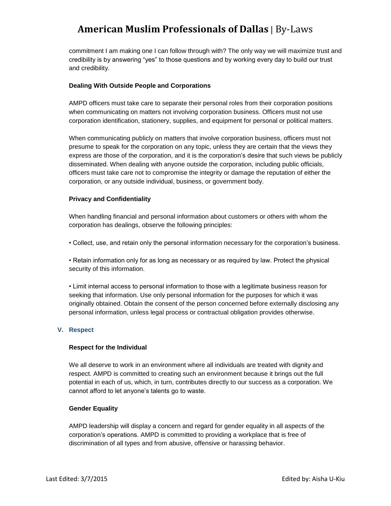commitment I am making one I can follow through with? The only way we will maximize trust and credibility is by answering "yes" to those questions and by working every day to build our trust and credibility.

#### **Dealing With Outside People and Corporations**

AMPD officers must take care to separate their personal roles from their corporation positions when communicating on matters not involving corporation business. Officers must not use corporation identification, stationery, supplies, and equipment for personal or political matters.

When communicating publicly on matters that involve corporation business, officers must not presume to speak for the corporation on any topic, unless they are certain that the views they express are those of the corporation, and it is the corporation's desire that such views be publicly disseminated. When dealing with anyone outside the corporation, including public officials, officers must take care not to compromise the integrity or damage the reputation of either the corporation, or any outside individual, business, or government body.

#### **Privacy and Confidentiality**

When handling financial and personal information about customers or others with whom the corporation has dealings, observe the following principles:

• Collect, use, and retain only the personal information necessary for the corporation's business.

• Retain information only for as long as necessary or as required by law. Protect the physical security of this information.

• Limit internal access to personal information to those with a legitimate business reason for seeking that information. Use only personal information for the purposes for which it was originally obtained. Obtain the consent of the person concerned before externally disclosing any personal information, unless legal process or contractual obligation provides otherwise.

#### **V. Respect**

#### **Respect for the Individual**

We all deserve to work in an environment where all individuals are treated with dignity and respect. AMPD is committed to creating such an environment because it brings out the full potential in each of us, which, in turn, contributes directly to our success as a corporation. We cannot afford to let anyone's talents go to waste.

#### **Gender Equality**

AMPD leadership will display a concern and regard for gender equality in all aspects of the corporation's operations. AMPD is committed to providing a workplace that is free of discrimination of all types and from abusive, offensive or harassing behavior.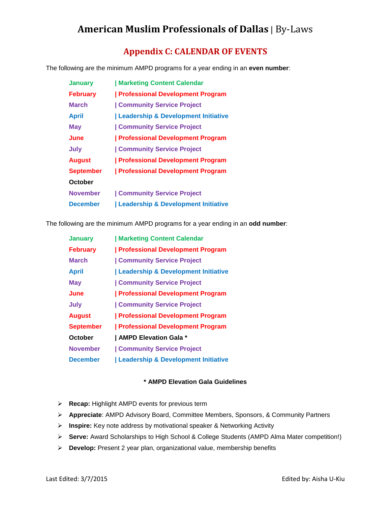## **Appendix C: CALENDAR OF EVENTS**

The following are the minimum AMPD programs for a year ending in an **even number**:

| <b>January</b>   | Marketing Content Calendar                     |
|------------------|------------------------------------------------|
| <b>February</b>  | <b>Professional Development Program</b>        |
| <b>March</b>     | <b>Community Service Project</b>               |
| <b>April</b>     | Leadership & Development Initiative            |
| May              | <b>Community Service Project</b>               |
| June             | <b>Professional Development Program</b>        |
| July             | <b>Community Service Project</b>               |
| <b>August</b>    | <b>Professional Development Program</b>        |
| <b>September</b> | <b>Professional Development Program</b>        |
| October          |                                                |
| <b>November</b>  | <b>Community Service Project</b>               |
| <b>December</b>  | <b>Leadership &amp; Development Initiative</b> |

The following are the minimum AMPD programs for a year ending in an **odd number**:

| <b>January</b>   | Marketing Content Calendar              |
|------------------|-----------------------------------------|
| <b>February</b>  | <b>Professional Development Program</b> |
| <b>March</b>     | <b>Community Service Project</b>        |
| <b>April</b>     | Leadership & Development Initiative     |
| <b>May</b>       | <b>Community Service Project</b>        |
| June             | <b>Professional Development Program</b> |
| July             | <b>Community Service Project</b>        |
| <b>August</b>    | <b>Professional Development Program</b> |
| <b>September</b> | <b>Professional Development Program</b> |
| October          | AMPD Elevation Gala *                   |
| <b>November</b>  | <b>Community Service Project</b>        |
| <b>December</b>  | Leadership & Development Initiative     |

#### **\* AMPD Elevation Gala Guidelines**

- **Recap:** Highlight AMPD events for previous term
- **Appreciate**: AMPD Advisory Board, Committee Members, Sponsors, & Community Partners
- **Inspire:** Key note address by motivational speaker & Networking Activity
- **Serve:** Award Scholarships to High School & College Students (AMPD Alma Mater competition!)
- **Develop:** Present 2 year plan, organizational value, membership benefits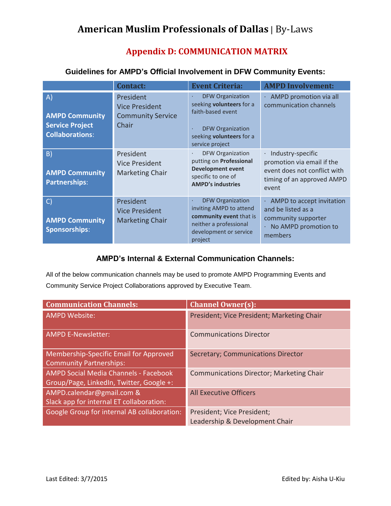## **Appendix D: COMMUNICATION MATRIX**

|                                                                                 | <b>Contact:</b>                                                         | <b>Event Criteria:</b>                                                                                                                                                              | <b>AMPD Involvement:</b>                                                                                                            |
|---------------------------------------------------------------------------------|-------------------------------------------------------------------------|-------------------------------------------------------------------------------------------------------------------------------------------------------------------------------------|-------------------------------------------------------------------------------------------------------------------------------------|
| A)<br><b>AMPD Community</b><br><b>Service Project</b><br><b>Collaborations:</b> | President<br><b>Vice President</b><br><b>Community Service</b><br>Chair | <b>DFW Organization</b><br>$\bullet$<br>seeking <b>volunteers</b> for a<br>faith-based event<br><b>DFW Organization</b><br>$\bullet$<br>seeking volunteers for a<br>service project | · AMPD promotion via all<br>communication channels                                                                                  |
| $\vert B \rangle$<br><b>AMPD Community</b><br><b>Partnerships:</b>              | President<br><b>Vice President</b><br><b>Marketing Chair</b>            | <b>DFW Organization</b><br>$\bullet$<br>putting on Professional<br><b>Development event</b><br>specific to one of<br><b>AMPD's industries</b>                                       | Industry-specific<br>$\bullet$<br>promotion via email if the<br>event does not conflict with<br>timing of an approved AMPD<br>event |
| $\mathsf{C}$<br><b>AMPD Community</b><br><b>Sponsorships:</b>                   | President<br><b>Vice President</b><br><b>Marketing Chair</b>            | <b>DFW Organization</b><br>$\bullet$<br>inviting AMPD to attend<br>community event that is<br>neither a professional<br>development or service<br>project                           | $\cdot$ AMPD to accept invitation<br>and be listed as a<br>community supporter<br>No AMPD promotion to<br>ä,<br>members             |

## **Guidelines for AMPD's Official Involvement in DFW Community Events:**

## **AMPD's Internal & External Communication Channels:**

All of the below communication channels may be used to promote AMPD Programming Events and Community Service Project Collaborations approved by Executive Team.

| <b>Communication Channels:</b>                | <b>Channel Owner(s):</b>                        |
|-----------------------------------------------|-------------------------------------------------|
| <b>AMPD Website:</b>                          | President; Vice President; Marketing Chair      |
| <b>AMPD E-Newsletter:</b>                     | <b>Communications Director</b>                  |
| <b>Membership-Specific Email for Approved</b> | <b>Secretary; Communications Director</b>       |
| <b>Community Partnerships:</b>                |                                                 |
| <b>AMPD Social Media Channels - Facebook</b>  | <b>Communications Director; Marketing Chair</b> |
| Group/Page, LinkedIn, Twitter, Google +:      |                                                 |
| AMPD.calendar@gmail.com &                     | <b>All Executive Officers</b>                   |
| Slack app for internal ET collaboration:      |                                                 |
| Google Group for internal AB collaboration:   | President; Vice President;                      |
|                                               | Leadership & Development Chair                  |